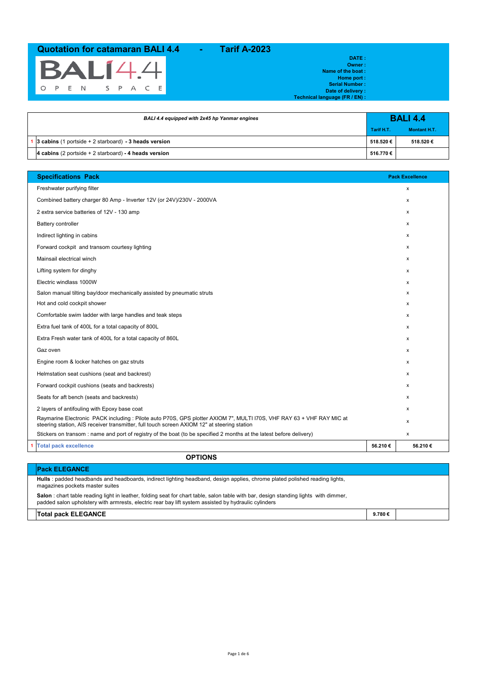

**DATE : Owner : Name of the boat : Home port : Serial Number : Date of delivery : Technical language (FR / EN) :**

| BALI 4.4 equipped with 2x45 hp Yanmar engines             |            | <b>BALI 4.4</b>     |
|-----------------------------------------------------------|------------|---------------------|
|                                                           | Tarif H.T. | <b>Montant H.T.</b> |
| 1 3 cabins (1 portside $+ 2$ starboard) - 3 heads version | 518.520€   | 518.520€            |
| 4 cabins (2 portside $+ 2$ starboard) - 4 heads version   | 516.770€   |                     |

| <b>Specifications Pack</b>                                                                                                                                                                                           |         | <b>Pack Excellence</b> |
|----------------------------------------------------------------------------------------------------------------------------------------------------------------------------------------------------------------------|---------|------------------------|
| Freshwater purifying filter                                                                                                                                                                                          |         | X                      |
| Combined battery charger 80 Amp - Inverter 12V (or 24V)/230V - 2000VA                                                                                                                                                |         | $\mathsf{x}$           |
| 2 extra service batteries of 12V - 130 amp                                                                                                                                                                           |         | x                      |
| Battery controller                                                                                                                                                                                                   |         | X                      |
| Indirect lighting in cabins                                                                                                                                                                                          |         | x                      |
| Forward cockpit and transom courtesy lighting                                                                                                                                                                        |         | x                      |
| Mainsail electrical winch                                                                                                                                                                                            |         | x                      |
| Lifting system for dinghy                                                                                                                                                                                            |         | x                      |
| Electric windlass 1000W                                                                                                                                                                                              |         | x                      |
| Salon manual tilting bay/door mechanically assisted by pneumatic struts                                                                                                                                              |         | x                      |
| Hot and cold cockpit shower                                                                                                                                                                                          |         | x                      |
| Comfortable swim ladder with large handles and teak steps                                                                                                                                                            |         | X                      |
| Extra fuel tank of 400L for a total capacity of 800L                                                                                                                                                                 |         | x                      |
| Extra Fresh water tank of 400L for a total capacity of 860L                                                                                                                                                          |         | x                      |
| Gaz oven                                                                                                                                                                                                             |         | x                      |
| Engine room & locker hatches on gaz struts                                                                                                                                                                           |         | X                      |
| Helmstation seat cushions (seat and backrest)                                                                                                                                                                        |         | x                      |
| Forward cockpit cushions (seats and backrests)                                                                                                                                                                       |         | x                      |
| Seats for aft bench (seats and backrests)                                                                                                                                                                            |         | x                      |
| 2 layers of antifouling with Epoxy base coat                                                                                                                                                                         |         | x                      |
| Raymarine Electronic PACK including : Pilote auto P70S, GPS plotter AXIOM 7", MULTI I70S, VHF RAY 63 + VHF RAY MIC at<br>steering station, AIS receiver transmitter, full touch screen AXIOM 12" at steering station |         | x                      |
| Stickers on transom: name and port of registry of the boat (to be specified 2 months at the latest before delivery)                                                                                                  |         | x                      |
| <b>Total pack excellence</b>                                                                                                                                                                                         | 56.210€ | 56.210€                |

**OPTIONS**

| <b>Pack ELEGANCE</b>                                                                                                                                                                                                                          |        |  |
|-----------------------------------------------------------------------------------------------------------------------------------------------------------------------------------------------------------------------------------------------|--------|--|
| Hulls : padded headbands and headboards, indirect lighting headband, design applies, chrome plated polished reading lights,<br>magazines pockets master suites                                                                                |        |  |
| Salon : chart table reading light in leather, folding seat for chart table, salon table with bar, design standing lights with dimmer,<br>padded salon upholstery with armrests, electric rear bay lift system assisted by hydraulic cylinders |        |  |
| <b>Total pack ELEGANCE</b>                                                                                                                                                                                                                    | 9.780€ |  |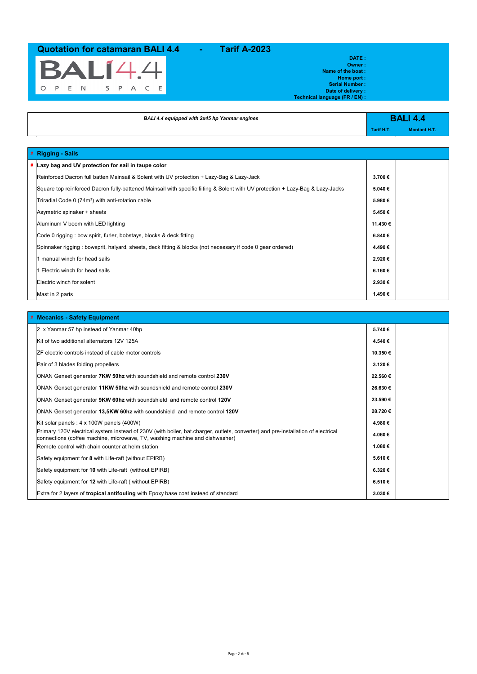

**DATE : Owner : Name of the boat : Home port : Serial Number : Date of delivery :**

**Technical language (FR / EN) :**

| BALI 4.4 equipped with 2x45 hp Yanmar engines                                                                                  |            | <b>BALI 4.4</b>     |
|--------------------------------------------------------------------------------------------------------------------------------|------------|---------------------|
|                                                                                                                                | Tarif H.T. | <b>Montant H.T.</b> |
|                                                                                                                                |            |                     |
| # Rigging - Sails                                                                                                              |            |                     |
| # Lazy bag and UV protection for sail in taupe color                                                                           |            |                     |
| Reinforced Dacron full batten Mainsail & Solent with UV protection + Lazy-Bag & Lazy-Jack                                      | 3.700€     |                     |
| Square top reinforced Dacron fully-battened Mainsail with specific fiiting & Solent with UV protection + Lazy-Bag & Lazy-Jacks | 5.040€     |                     |
| Triradial Code 0 (74m <sup>2</sup> ) with anti-rotation cable                                                                  | 5.980€     |                     |
| Asymetric spinaker + sheets                                                                                                    | 5.450€     |                     |
| Aluminum V boom with LED lighting                                                                                              | 11.430€    |                     |
| Code 0 rigging : bow spirit, furler, bobstays, blocks & deck fitting                                                           | 6.840€     |                     |
| Spinnaker rigging: bowsprit, halyard, sheets, deck fitting & blocks (not necessary if code 0 gear ordered)                     | 4.490€     |                     |
| 1 manual winch for head sails                                                                                                  | 2.920€     |                     |
| 1 Electric winch for head sails                                                                                                | 6.160€     |                     |
| Electric winch for solent                                                                                                      | 2.930€     |                     |

Mast in 2 parts **1.490 €**

| # Mecanics - Safety Equipment                                                                                                                                                                                   |         |  |
|-----------------------------------------------------------------------------------------------------------------------------------------------------------------------------------------------------------------|---------|--|
| 2 x Yanmar 57 hp instead of Yanmar 40hp                                                                                                                                                                         | 5.740€  |  |
| Kit of two additional alternators 12V 125A                                                                                                                                                                      | 4.540€  |  |
| ZF electric controls instead of cable motor controls                                                                                                                                                            | 10.350€ |  |
| Pair of 3 blades folding propellers                                                                                                                                                                             | 3.120€  |  |
| ONAN Genset generator 7KW 50hz with soundshield and remote control 230V                                                                                                                                         | 22.560€ |  |
| ONAN Genset generator 11KW 50hz with soundshield and remote control 230V                                                                                                                                        | 26.630€ |  |
| ONAN Genset generator 9KW 60hz with soundshield and remote control 120V                                                                                                                                         | 23.590€ |  |
| ONAN Genset generator 13,5KW 60hz with soundshield and remote control 120V                                                                                                                                      | 28.720€ |  |
| Kit solar panels: 4 x 100W panels (400W)                                                                                                                                                                        | 4.980€  |  |
| Primary 120V electrical system instead of 230V (with boiler, bat.charger, outlets, converter) and pre-installation of electrical<br>connections (coffee machine, microwave, TV, washing machine and dishwasher) | 4.060€  |  |
| Remote control with chain counter at helm station                                                                                                                                                               | 1.080€  |  |
| Safety equipment for 8 with Life-raft (without EPIRB)                                                                                                                                                           | 5.610€  |  |
| Safety equipment for 10 with Life-raft (without EPIRB)                                                                                                                                                          | 6.320€  |  |
| Safety equipment for 12 with Life-raft (without EPIRB)                                                                                                                                                          | 6.510€  |  |
| Extra for 2 layers of <b>tropical antifouling</b> with Epoxy base coat instead of standard                                                                                                                      | 3.030€  |  |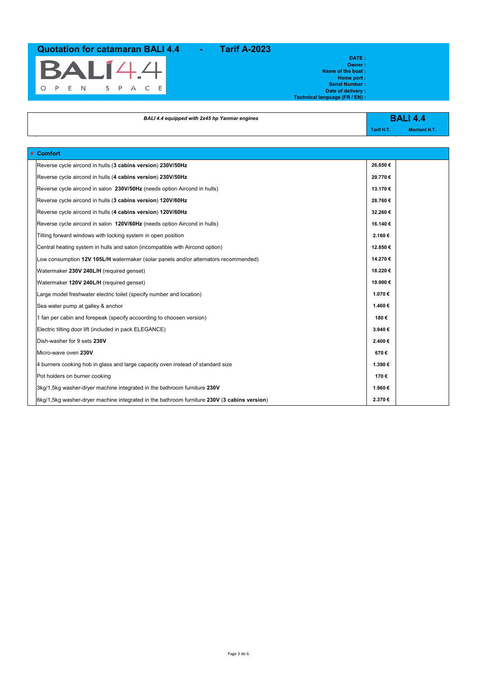

**DATE : Owner : Name of the boat : Home port : Serial Number : Date of delivery :**

| BALI 4.4 equipped with 2x45 hp Yanmar engines |            | <b>BALI 4.4</b>     |
|-----------------------------------------------|------------|---------------------|
|                                               | Tarif H.T. | <b>Montant H.T.</b> |

**Technical language (FR / EN) :**

| # Comfort                                                                                      |          |
|------------------------------------------------------------------------------------------------|----------|
| Reverse cycle aircond in hulls (3 cabins version) 230V/50Hz                                    | 26.650€  |
| Reverse cycle aircond in hulls (4 cabins version) 230V/50Hz                                    | 29.770€  |
| Reverse cycle aircond in salon 230V/50Hz (needs option Aircond in hulls)                       | 13.170€  |
| Reverse cycle aircond in hulls (3 cabins version) 120V/60Hz                                    | 28.760€  |
| Reverse cycle aircond in hulls (4 cabins version) 120V/60Hz                                    | 32.260€  |
| Reverse cycle aircond in salon 120V/60Hz (needs option Aircond in hulls)                       | 16.140 € |
| Tilting forward windows with locking system in open position                                   | 2.160€   |
| Central heating system in hulls and salon (incompatible with Aircond option)                   | 12.850€  |
| Low consumption 12V 105L/H watermaker (solar panels and/or alternators recommended)            | 14.270€  |
| Watermaker 230V 240L/H (required genset)                                                       | 18.220€  |
| Watermaker 120V 240L/H (required genset)                                                       | 19.900 € |
| Large model freshwater electric toilet (specify number and location)                           | 1.070€   |
| Sea water pump at galley & anchor                                                              | 1.460€   |
| 1 fan per cabin and forepeak (specify accoording to choosen version)                           | 180€     |
| Electric tilting door lift (included in pack ELEGANCE)                                         | 3.940€   |
| Dish-washer for 9 sets 230V                                                                    | 2.400€   |
| Micro-wave oven 230V                                                                           | 670€     |
| 4 burners cooking hob in glass and large capacity oven instead of standard size                | 1.390€   |
| Pot holders on burner cooking                                                                  | 170€     |
| 330V 3kg/1,5kg washer-dryer machine integrated in the bathroom furniture 230V                  | 1.960€   |
| $6$ kg/1,5kg washer-dryer machine integrated in the bathroom furniture 230V (3 cabins version) | 2.370€   |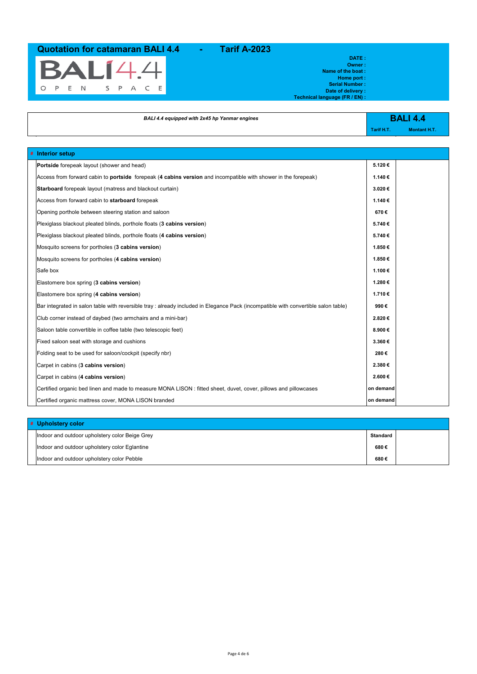

**# Interior setup**

**Owner : Name of the boat : Home port : Serial Number : Date of delivery :**

**Technical language (FR / EN) :**

**DATE :**

| BALI 4.4 equipped with 2x45 hp Yanmar engines                                                                                |            | <b>BALI 4.4</b>     |
|------------------------------------------------------------------------------------------------------------------------------|------------|---------------------|
|                                                                                                                              | Tarif H.T. | <b>Montant H.T.</b> |
|                                                                                                                              |            |                     |
| Interior setup                                                                                                               |            |                     |
| Portside forepeak layout (shower and head)                                                                                   | 5.120€     |                     |
| Access from forward cabin to <b>portside</b> forepeak (4 <b>cabins version</b> and incompatible with shower in the forepeak) | 1.140€     |                     |

| Access from forward cabin to <b>portside</b> forepeak (4 cabins version and incompatible with shower in the forepeak)              | 1.140 €   |  |
|------------------------------------------------------------------------------------------------------------------------------------|-----------|--|
| <b>Starboard</b> forepeak layout (matress and blackout curtain)                                                                    | 3.020€    |  |
| Access from forward cabin to starboard forepeak                                                                                    | 1.140€    |  |
| Opening porthole between steering station and saloon                                                                               | 670€      |  |
| Plexiglass blackout pleated blinds, porthole floats (3 cabins version)                                                             | 5.740€    |  |
| Plexiglass blackout pleated blinds, porthole floats (4 cabins version)                                                             | 5.740€    |  |
| Mosquito screens for portholes (3 cabins version)                                                                                  | 1.850€    |  |
| Mosquito screens for portholes (4 cabins version)                                                                                  | 1.850€    |  |
| Safe box                                                                                                                           | 1.100€    |  |
| Elastomere box spring (3 cabins version)                                                                                           | 1.280€    |  |
| Elastomere box spring (4 cabins version)                                                                                           | 1.710€    |  |
| Bar integrated in salon table with reversible tray : already included in Elegance Pack (incompatible with convertible salon table) | 990€      |  |
| Club corner instead of daybed (two armchairs and a mini-bar)                                                                       | 2.820€    |  |
| Saloon table convertible in coffee table (two telescopic feet)                                                                     | 8.900€    |  |
| Fixed saloon seat with storage and cushions                                                                                        | 3.360€    |  |
| Folding seat to be used for saloon/cockpit (specify nbr)                                                                           | 280€      |  |
| Carpet in cabins (3 cabins version)                                                                                                | 2.380€    |  |
| Carpet in cabins (4 cabins version)                                                                                                | 2.600€    |  |
| Certified organic bed linen and made to measure MONA LISON : fitted sheet, duvet, cover, pillows and pillowcases                   | on demand |  |
| Certified organic mattress cover, MONA LISON branded                                                                               | on demand |  |

| # Upholstery color                             |          |  |
|------------------------------------------------|----------|--|
| Indoor and outdoor upholstery color Beige Grey | Standard |  |
| Indoor and outdoor upholstery color Eglantine  | 680€     |  |
| Indoor and outdoor upholstery color Pebble     | 680€     |  |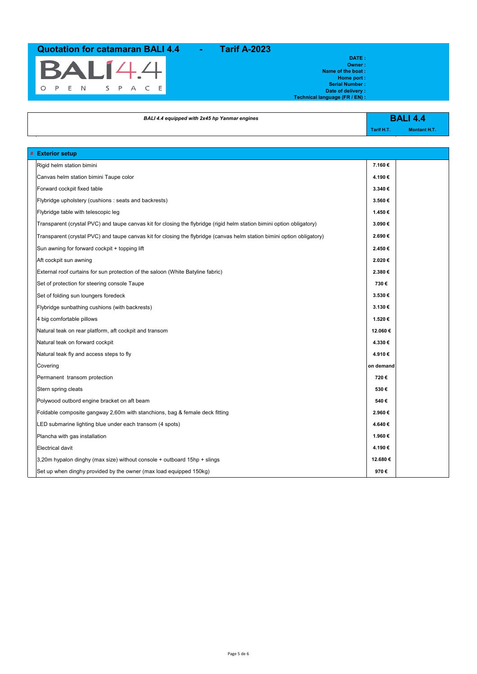

### **DATE : Owner : Name of the boat : Home port :**

**Serial Number : Date of delivery :**

**Technical language (FR / EN) :**

| BALI 4.4 equipped with 2x45 hp Yanmar engines                                                                           |            | <b>BALI 4.4</b>     |
|-------------------------------------------------------------------------------------------------------------------------|------------|---------------------|
|                                                                                                                         | Tarif H.T. | <b>Montant H.T.</b> |
|                                                                                                                         |            |                     |
| <b>Exterior setup</b>                                                                                                   |            |                     |
| Rigid helm station bimini                                                                                               | 7.160€     |                     |
| Canvas helm station bimini Taupe color                                                                                  | 4.190€     |                     |
| Forward cockpit fixed table                                                                                             | 3.340€     |                     |
| Flybridge upholstery (cushions: seats and backrests)                                                                    | 3.560€     |                     |
| Flybridge table with telescopic leg                                                                                     | 1.450€     |                     |
| Transparent (crystal PVC) and taupe canvas kit for closing the flybridge (rigid helm station bimini option obligatory)  | 3.090€     |                     |
| Transparent (crystal PVC) and taupe canvas kit for closing the flybridge (canvas helm station bimini option obligatory) | 2.690€     |                     |
| Sun awning for forward cockpit + topping lift                                                                           | 2.450€     |                     |
| Aft cockpit sun awning                                                                                                  | 2.020€     |                     |
| External roof curtains for sun protection of the saloon (White Batyline fabric)                                         | 2.380€     |                     |
| Set of protection for steering console Taupe                                                                            | 730€       |                     |
| Set of folding sun loungers foredeck                                                                                    | 3.530€     |                     |
| Flybridge sunbathing cushions (with backrests)                                                                          | 3.130€     |                     |
| 4 big comfortable pillows                                                                                               | 1.520€     |                     |
| Natural teak on rear platform, aft cockpit and transom                                                                  | 12.060€    |                     |
| Natural teak on forward cockpit                                                                                         | 4.330€     |                     |
| Natural teak fly and access steps to fly                                                                                | 4.910€     |                     |
| Covering                                                                                                                | on demand  |                     |
| Permanent transom protection                                                                                            | 720€       |                     |
| Stern spring cleats                                                                                                     | 530€       |                     |
| Polywood outbord engine bracket on aft beam                                                                             | 540€       |                     |
| Foldable composite gangway 2,60m with stanchions, bag & female deck fitting                                             | 2.960€     |                     |
| LED submarine lighting blue under each transom (4 spots)                                                                | 4.640€     |                     |
| Plancha with gas installation                                                                                           | 1.960€     |                     |
| <b>Electrical davit</b>                                                                                                 | 4.190€     |                     |
| 3,20m hypalon dinghy (max size) without console + outboard 15hp + slings                                                | 12.680€    |                     |
| Set up when dinghy provided by the owner (max load equipped 150kg)                                                      | 970€       |                     |